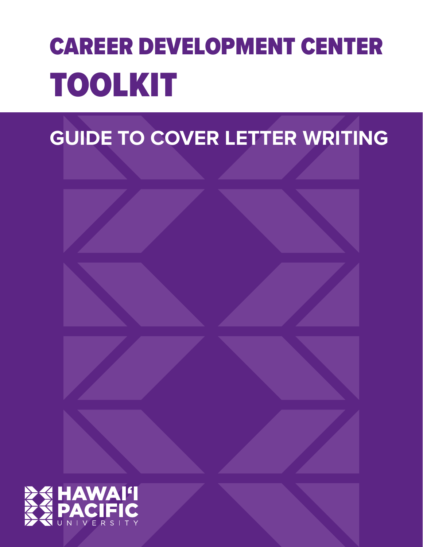# CAREER DEVELOPMENT CENTER TOOLKIT

## **GUIDE TO COVER LETTER WRITING**

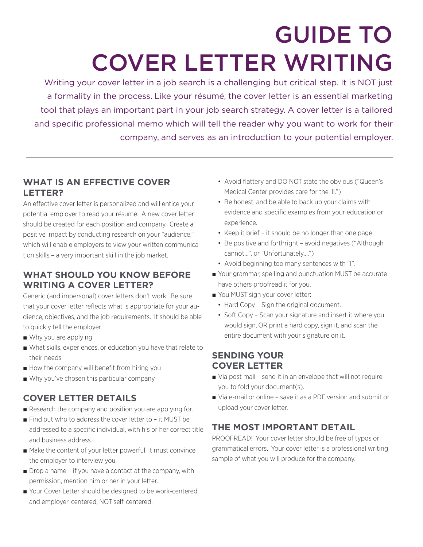## GUIDE TO COVER LETTER WRITING

Writing your cover letter in a job search is a challenging but critical step. It is NOT just a formality in the process. Like your résumé, the cover letter is an essential marketing tool that plays an important part in your job search strategy. A cover letter is a tailored and specific professional memo which will tell the reader why you want to work for their company, and serves as an introduction to your potential employer.

## **WHAT IS AN EFFECTIVE COVER LETTER?**

An effective cover letter is personalized and will entice your potential employer to read your résumé. A new cover letter should be created for each position and company. Create a positive impact by conducting research on your "audience," which will enable employers to view your written communication skills – a very important skill in the job market.

## **WHAT SHOULD YOU KNOW BEFORE WRITING A COVER LETTER?**

Generic (and impersonal) cover letters don't work. Be sure that your cover letter reflects what is appropriate for your audience, objectives, and the job requirements. It should be able to quickly tell the employer:

- Why you are applying
- What skills, experiences, or education you have that relate to their needs
- How the company will benefit from hiring you
- Why you've chosen this particular company

## **COVER LETTER DETAILS**

- Research the company and position you are applying for.
- Find out who to address the cover letter to it MUST be addressed to a specific individual, with his or her correct title and business address.
- Make the content of your letter powerful. It must convince the employer to interview you.
- Drop a name if you have a contact at the company, with permission, mention him or her in your letter.
- Your Cover Letter should be designed to be work-centered and employer-centered, NOT self-centered.
- Avoid flattery and DO NOT state the obvious ("Queen's Medical Center provides care for the ill.")
- Be honest, and be able to back up your claims with evidence and specific examples from your education or experience.
- Keep it brief it should be no longer than one page.
- Be positive and forthright avoid negatives ("Although I cannot…", or "Unfortunately….")
- Avoid beginning too many sentences with "I".
- Your grammar, spelling and punctuation MUST be accurate have others proofread it for you.
- You MUST sign your cover letter:
	- Hard Copy Sign the original document.
	- Soft Copy Scan your signature and insert it where you would sign, OR print a hard copy, sign it, and scan the entire document with your signature on it.

## **SENDING YOUR COVER LETTER**

- Via post mail send it in an envelope that will not require you to fold your document(s).
- Via e-mail or online save it as a PDF version and submit or upload your cover letter.

## **THE MOST IMPORTANT DETAIL**

PROOFREAD! Your cover letter should be free of typos or grammatical errors. Your cover letter is a professional writing sample of what you will produce for the company.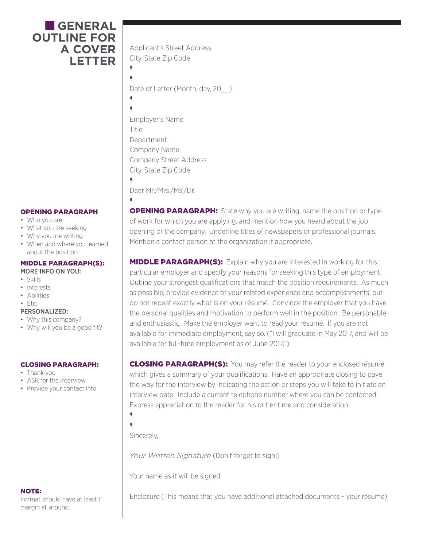## ■ **GENERAL OUTLINE FOR A COVER LETTER**

#### OPENING PARAGRAPH

- Who you are
- What you are seeking
- Why you are writing
- When and where you learned about the position

#### MIDDLE PARAGRAPH(S):

- MORE INFO ON YOU:
- Skills
- Interests
- Abilities

### $\cdot$  Etc.

- PERSONALIZED:
- Why this company?
- Why will you be a good fit?

#### CLOSING PARAGRAPH:

- Thank you
- ASK for the interview
- Provide your contact info

### NOTE:

Format should have at least 1" margin all around.

Applicant's Street Address City, State Zip Code

¶ ¶

 $\blacksquare$ 

¶

Date of Letter (Month, day, 20<sup>)</sup>

¶ Employer's Name Title Department Company Name Company Street Address City, State Zip Code  $\blacksquare$ 

Dear Mr./Mrs./Ms./Dr.

**OPENING PARAGRAPH:** State why you are writing, name the position or type of work for which you are applying, and mention how you heard about the job opening or the company. Underline titles of newspapers or professional journals. Mention a contact person at the organization if appropriate.

**MIDDLE PARAGRAPH(S):** Explain why you are interested in working for this particular employer and specify your reasons for seeking this type of employment. Outline your strongest qualifications that match the position requirements. As much as possible, provide evidence of your related experience and accomplishments, but do not repeat exactly what is on your résumé. Convince the employer that you have the personal qualities and motivation to perform well in the position. Be personable and enthusiastic. Make the employer want to read your résumé. If you are not available for immediate employment, say so. ("I will graduate in May 2017, and will be available for full-time employment as of June 2017.")

**CLOSING PARAGRAPH(S):** You may refer the reader to your enclosed résumé which gives a summary of your qualifications. Have an appropriate closing to pave the way for the interview by indicating the action or steps you will take to initiate an interview date. Include a current telephone number where you can be contacted. Express appreciation to the reader for his or her time and consideration.

¶  $\blacksquare$ 

Sincerely,

*Your Written Signature* (Don't forget to sign!)

Your name as it will be signed

Enclosure (This means that you have additional attached documents – your résumé)